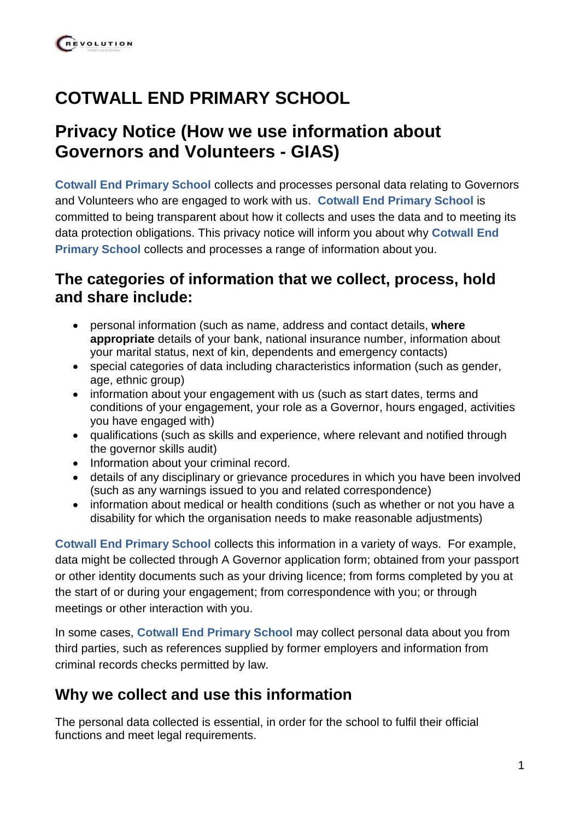# **COTWALL END PRIMARY SCHOOL**

# **Privacy Notice (How we use information about Governors and Volunteers - GIAS)**

**Cotwall End Primary School** collects and processes personal data relating to Governors and Volunteers who are engaged to work with us. **Cotwall End Primary School** is committed to being transparent about how it collects and uses the data and to meeting its data protection obligations. This privacy notice will inform you about why **Cotwall End Primary School** collects and processes a range of information about you.

### **The categories of information that we collect, process, hold and share include:**

- personal information (such as name, address and contact details, **where appropriate** details of your bank, national insurance number, information about your marital status, next of kin, dependents and emergency contacts)
- special categories of data including characteristics information (such as gender, age, ethnic group)
- information about your engagement with us (such as start dates, terms and conditions of your engagement, your role as a Governor, hours engaged, activities you have engaged with)
- qualifications (such as skills and experience, where relevant and notified through the governor skills audit)
- Information about your criminal record.
- details of any disciplinary or grievance procedures in which you have been involved (such as any warnings issued to you and related correspondence)
- information about medical or health conditions (such as whether or not you have a disability for which the organisation needs to make reasonable adjustments)

**Cotwall End Primary School** collects this information in a variety of ways. For example, data might be collected through A Governor application form; obtained from your passport or other identity documents such as your driving licence; from forms completed by you at the start of or during your engagement; from correspondence with you; or through meetings or other interaction with you.

In some cases, **Cotwall End Primary School** may collect personal data about you from third parties, such as references supplied by former employers and information from criminal records checks permitted by law.

# **Why we collect and use this information**

The personal data collected is essential, in order for the school to fulfil their official functions and meet legal requirements.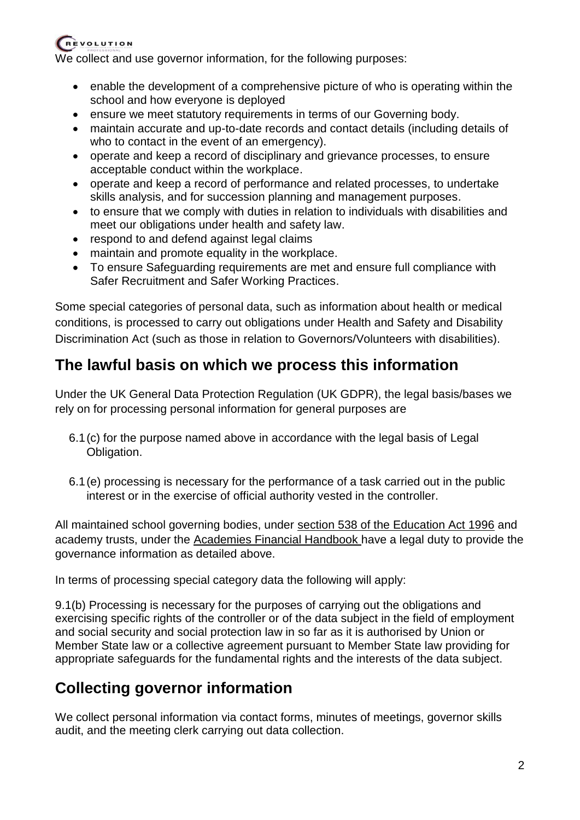We collect and use governor information, for the following purposes:

- enable the development of a comprehensive picture of who is operating within the school and how everyone is deployed
- ensure we meet statutory requirements in terms of our Governing body.
- maintain accurate and up-to-date records and contact details (including details of who to contact in the event of an emergency).
- operate and keep a record of disciplinary and grievance processes, to ensure acceptable conduct within the workplace.
- operate and keep a record of performance and related processes, to undertake skills analysis, and for succession planning and management purposes.
- to ensure that we comply with duties in relation to individuals with disabilities and meet our obligations under health and safety law.
- respond to and defend against legal claims
- maintain and promote equality in the workplace.
- To ensure Safeguarding requirements are met and ensure full compliance with Safer Recruitment and Safer Working Practices.

Some special categories of personal data, such as information about health or medical conditions, is processed to carry out obligations under Health and Safety and Disability Discrimination Act (such as those in relation to Governors/Volunteers with disabilities).

# **The lawful basis on which we process this information**

Under the UK General Data Protection Regulation (UK GDPR), the legal basis/bases we rely on for processing personal information for general purposes are

- 6.1(c) for the purpose named above in accordance with the legal basis of Legal Obligation.
- 6.1(e) processing is necessary for the performance of a task carried out in the public interest or in the exercise of official authority vested in the controller.

All maintained school governing bodies, under [section 538 of the Education Act 1996](http://www.legislation.gov.uk/ukpga/1996/56/section/538) and academy trusts, under the [Academies Financial Handbook h](https://www.gov.uk/government/publications/academies-financial-handbook)ave a legal duty to provide the governance information as detailed above.

In terms of processing special category data the following will apply:

9.1(b) Processing is necessary for the purposes of carrying out the obligations and exercising specific rights of the controller or of the data subject in the field of employment and social security and social protection law in so far as it is authorised by Union or Member State law or a collective agreement pursuant to Member State law providing for appropriate safeguards for the fundamental rights and the interests of the data subject.

# **Collecting governor information**

We collect personal information via contact forms, minutes of meetings, governor skills audit, and the meeting clerk carrying out data collection.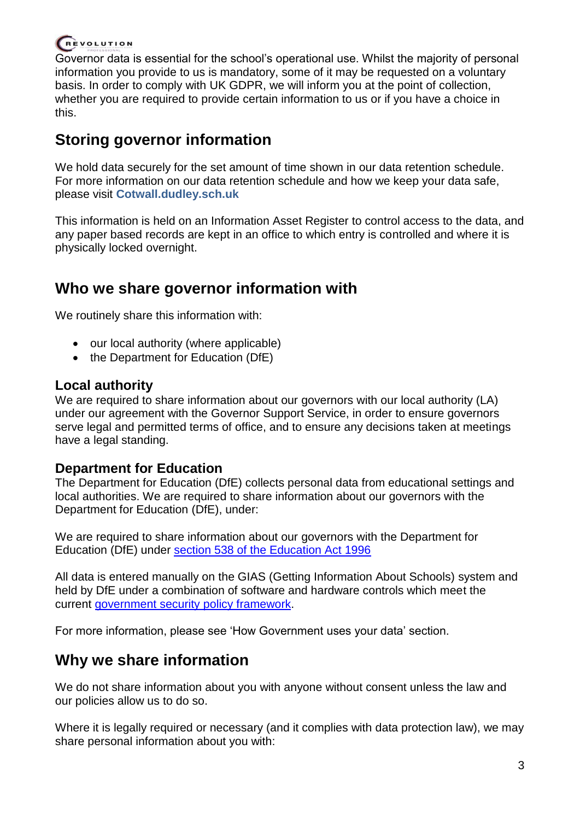Governor data is essential for the school's operational use. Whilst the majority of personal information you provide to us is mandatory, some of it may be requested on a voluntary basis. In order to comply with UK GDPR, we will inform you at the point of collection, whether you are required to provide certain information to us or if you have a choice in this.

# **Storing governor information**

We hold data securely for the set amount of time shown in our data retention schedule. For more information on our data retention schedule and how we keep your data safe, please visit **Cotwall.dudley.sch.uk**

This information is held on an Information Asset Register to control access to the data, and any paper based records are kept in an office to which entry is controlled and where it is physically locked overnight.

### **Who we share governor information with**

We routinely share this information with:

- our local authority (where applicable)
- the Department for Education (DfE)

#### **Local authority**

We are required to share information about our governors with our local authority (LA) under our agreement with the Governor Support Service, in order to ensure governors serve legal and permitted terms of office, and to ensure any decisions taken at meetings have a legal standing.

#### **Department for Education**

The Department for Education (DfE) collects personal data from educational settings and local authorities. We are required to share information about our governors with the Department for Education (DfE), under:

We are required to share information about our governors with the Department for Education (DfE) under [section 538 of the Education Act 1996](http://www.legislation.gov.uk/ukpga/1996/56/section/538)

All data is entered manually on the GIAS (Getting Information About Schools) system and held by DfE under a combination of software and hardware controls which meet the current [government security policy framework.](https://www.gov.uk/government/publications/security-policy-framework)

For more information, please see 'How Government uses your data' section.

# **Why we share information**

We do not share information about you with anyone without consent unless the law and our policies allow us to do so.

Where it is legally required or necessary (and it complies with data protection law), we may share personal information about you with: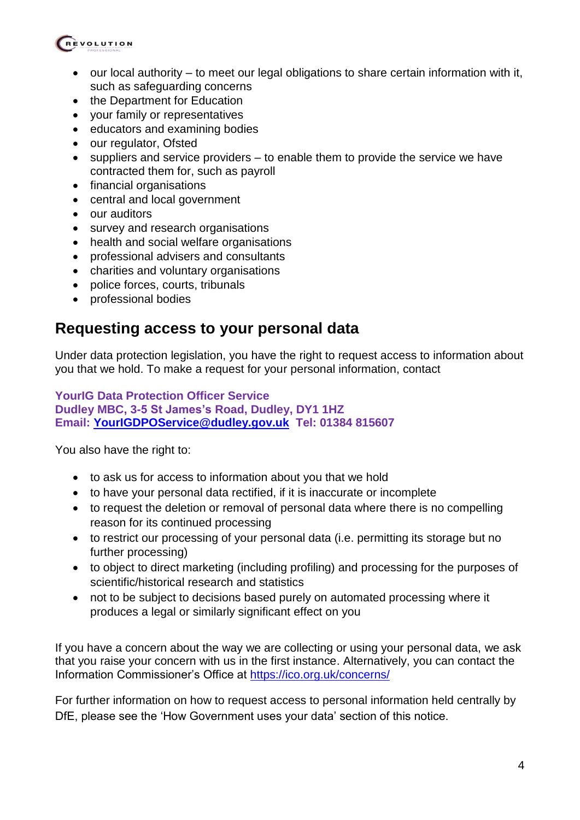

- $\bullet$  our local authority to meet our legal obligations to share certain information with it, such as safeguarding concerns
- the Department for Education
- your family or representatives
- educators and examining bodies
- our regulator, Ofsted
- $\bullet$  suppliers and service providers to enable them to provide the service we have contracted them for, such as payroll
- financial organisations
- central and local government
- our auditors
- survey and research organisations
- health and social welfare organisations
- professional advisers and consultants
- charities and voluntary organisations
- police forces, courts, tribunals
- professional bodies

### **Requesting access to your personal data**

Under data protection legislation, you have the right to request access to information about you that we hold. To make a request for your personal information, contact

#### **YourIG Data Protection Officer Service Dudley MBC, 3-5 St James's Road, Dudley, DY1 1HZ Email: [YourIGDPOService@dudley.gov.uk](mailto:YourIGDPOService@dudley.gov.uk) Tel: 01384 815607**

You also have the right to:

- to ask us for access to information about you that we hold
- to have your personal data rectified, if it is inaccurate or incomplete
- to request the deletion or removal of personal data where there is no compelling reason for its continued processing
- to restrict our processing of your personal data (i.e. permitting its storage but no further processing)
- to object to direct marketing (including profiling) and processing for the purposes of scientific/historical research and statistics
- not to be subject to decisions based purely on automated processing where it produces a legal or similarly significant effect on you

If you have a concern about the way we are collecting or using your personal data, we ask that you raise your concern with us in the first instance. Alternatively, you can contact the Information Commissioner's Office at<https://ico.org.uk/concerns/>

For further information on how to request access to personal information held centrally by DfE, please see the 'How Government uses your data' section of this notice.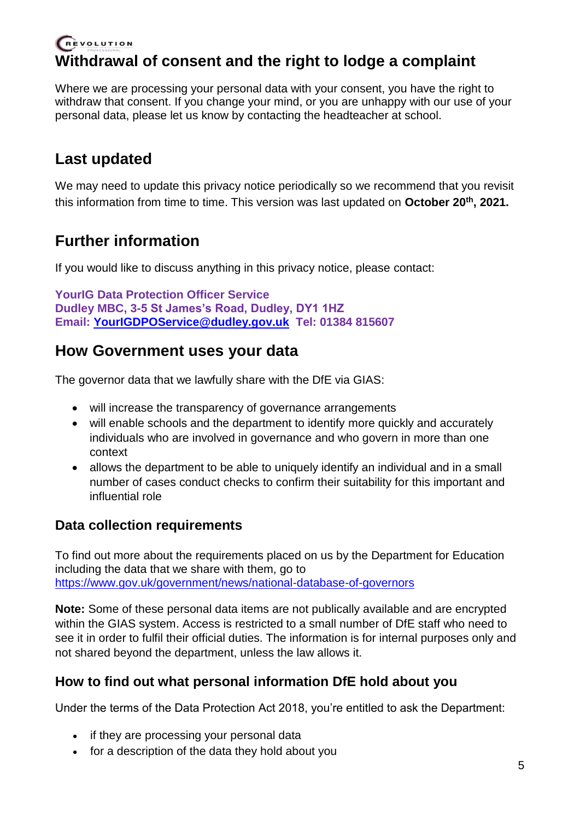# **Withdrawal of consent and the right to lodge a complaint**

Where we are processing your personal data with your consent, you have the right to withdraw that consent. If you change your mind, or you are unhappy with our use of your personal data, please let us know by contacting the headteacher at school.

### **Last updated**

We may need to update this privacy notice periodically so we recommend that you revisit this information from time to time. This version was last updated on **October 20th, 2021.**

### **Further information**

If you would like to discuss anything in this privacy notice, please contact:

```
YourIG Data Protection Officer Service
Dudley MBC, 3-5 St James's Road, Dudley, DY1 1HZ
Email: YourIGDPOService@dudley.gov.uk Tel: 01384 815607
```
### **How Government uses your data**

The governor data that we lawfully share with the DfE via GIAS:

- will increase the transparency of governance arrangements
- will enable schools and the department to identify more quickly and accurately individuals who are involved in governance and who govern in more than one context
- allows the department to be able to uniquely identify an individual and in a small number of cases conduct checks to confirm their suitability for this important and influential role

### **Data collection requirements**

To find out more about the requirements placed on us by the Department for Education including the data that we share with them, go to <https://www.gov.uk/government/news/national-database-of-governors>

**Note:** Some of these personal data items are not publically available and are encrypted within the GIAS system. Access is restricted to a small number of DfE staff who need to see it in order to fulfil their official duties. The information is for internal purposes only and not shared beyond the department, unless the law allows it.

#### **How to find out what personal information DfE hold about you**

Under the terms of the Data Protection Act 2018, you're entitled to ask the Department:

- if they are processing your personal data
- for a description of the data they hold about you